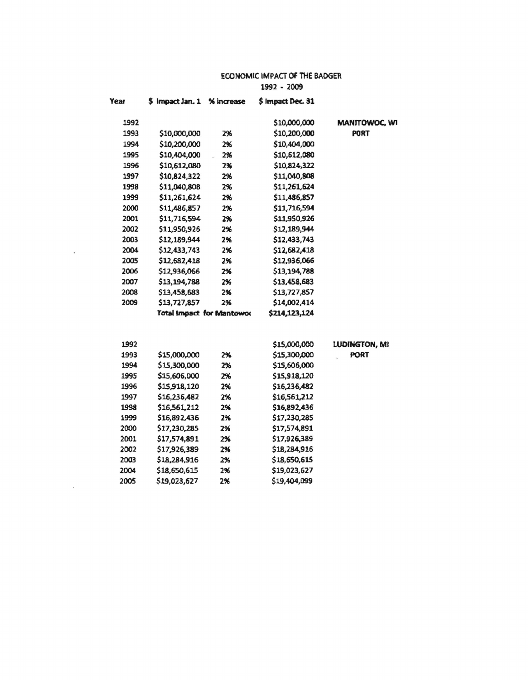## ECONOMIC IMPACT OF THE BADGER 1992 - 2009

| <b>Year</b>  | \$ Impact Jan. 1 % increase      |          | \$ Impact Dec. 31            |               |
|--------------|----------------------------------|----------|------------------------------|---------------|
| 1992         |                                  |          | \$10,000,000                 | MANITOWOC, WI |
| 1993         | \$10,000,000                     | 2%       | \$10,200,000                 | <b>PORT</b>   |
| 1994         | \$10,200,000                     | 2%       | \$10,404,000                 |               |
| 1995         | \$10,404,000                     | 2%       | \$10,612,080                 |               |
| 1996         | \$10,612,080                     | 2%       | \$10,824,322                 |               |
| 1997         | \$10,824,322                     | 2%       | \$11,040,808                 |               |
| 1998         | \$11,040,808                     | 2%       | \$11,261,624                 |               |
| 1999         | \$11,261,624                     | 2%       | \$11,486,857                 |               |
| 2000         | \$11,486,857                     | 2%       | \$11,716,594                 |               |
| 2001         | \$11,716,594                     | 2%       | \$11,950,926                 |               |
| 2002         | \$11,950,926                     | 2%       | \$12,189,944                 |               |
| 2003         | \$12,189,944                     | 2%       | \$12,433,743                 |               |
| 2004         | \$12,433,743                     | 2%       | \$12,682,418                 |               |
| 2005         | \$12,682,418                     | 2%       | \$12,936,066                 |               |
| 2006         | \$12,936,066                     | 2%       | \$13,194,788                 |               |
| 2007         | \$13,194,788                     | 2%       | \$13,458,683                 |               |
| 2008         | \$13,458,683                     | 2%       | \$13,727,857                 |               |
| 2009         | \$13,727,857                     | 2%       | \$14,002,414                 |               |
|              | <b>Total Impact for Mantowoo</b> |          | \$214,123,124                |               |
|              |                                  |          |                              |               |
| 1992         |                                  |          | \$15,000,000                 | LUDINGTON, MI |
| 1993         | \$15,000,000                     | 2%       | \$15,300,000                 | <b>PORT</b>   |
| 1994         | \$15,300,000                     | 2%       | \$15,606,000                 |               |
| 1995         | \$15,606,000                     | 2%       | \$15,918,120                 |               |
| 1996         | \$15,918,120                     | 2%       | \$16,236,482                 |               |
| 1997         | \$16,236,482                     | 2%       | \$16,561,212                 |               |
| 1998         | \$16,561,212                     | 2%       | \$16,892,436                 |               |
| 1999<br>2000 | \$16,892,436                     | 2%       | \$17,230,285                 |               |
| 2001         | \$17,230,285                     | 2%       | \$17,574,891                 |               |
| 2002         | \$17,574,891<br>\$17,926,389     | 2%<br>2% | \$17,926,389<br>\$18,284,916 |               |
| 2003         |                                  |          | \$18,650,615                 |               |
| 2004         | \$18,284,916<br>\$18,650,615     | 2%       |                              |               |
| 2005         | \$19,023,627                     | 2%       | \$19,023,627<br>\$19,404,099 |               |
|              |                                  | 2%       |                              |               |

 $\sim 10^{-11}$ 

 $\sim 10^{-10}$